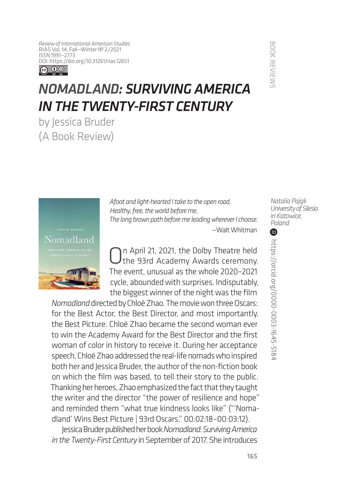*Review of International American Studies* RIAS Vol. 14, Fall—Winter № 2/2021 ISSN 1991—2773 [DOI: https://doi.org/1](https://doi.org/10.31261/rias.12651)0.31261/rias.12651



## *NOMADLAND: SURVIVING AMERICA IN THE TWENTY-FIRST CENTURY*

by Jessica Bruder (A Book Review)



*Afoot and light-hearted I take to the open road, Healthy, free, the world before me, The long brown path before me leading wherever I choose.* —Walt Whitman

On April 21, 2021, the Dolby Theatre held<br>
the 93rd Academy Awards ceremony. The event, unusual as the whole 2020–2021 cycle, abounded with surprises. Indisputably, the biggest winner of the night was the film

*Nomadland* directed by Chloé Zhao. The movie won three Oscars: for the Best Actor, the Best Director, and most importantly, the Best Picture. Chloé Zhao became the second woman ever to win the Academy Award for the Best Director and the first woman of color in history to receive it. During her acceptance speech, Chloé Zhao addressed the real-life nomads who inspired both her and Jessica Bruder, the author of the non-fiction book on which the film was based, to tell their story to the public. Thanking her heroes, Zhao emphasized the fact that they taught the writer and the director "the power of resilience and hope" and reminded them "what true kindness looks like" ("'Nomadland' Wins Best Picture | 93rd Oscars," 00:02:18–00:03:12).

Jessica Bruder published her book *Nomadland: Surviving America in the Twenty-First Century* in September of 2017. She introduces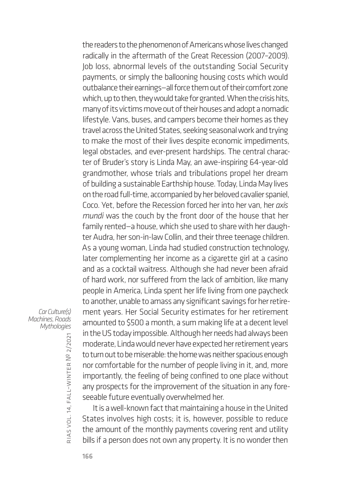the readers to the phenomenon of Americans whose lives changed radically in the aftermath of the Great Recession (2007–2009). Job loss, abnormal levels of the outstanding Social Security payments, or simply the ballooning housing costs which would outbalance their earnings—all force them out of their comfort zone which, up to then, they would take for granted. When the crisis hits, many of its victims move out of their houses and adopt a nomadic lifestyle. Vans, buses, and campers become their homes as they travel across the United States, seeking seasonal work and trying to make the most of their lives despite economic impediments, legal obstacles, and ever-present hardships. The central character of Bruder's story is Linda May, an awe-inspiring 64-year-old grandmother, whose trials and tribulations propel her dream of building a sustainable Earthship house. Today, Linda May lives on the road full-time, accompanied by her beloved cavalier spaniel, Coco. Yet, before the Recession forced her into her van, her *axis mundi* was the couch by the front door of the house that her family rented—a house, which she used to share with her daughter Audra, her son-in-law Collin, and their three teenage children. As a young woman, Linda had studied construction technology, later complementing her income as a cigarette girl at a casino and as a cocktail waitress. Although she had never been afraid of hard work, nor suffered from the lack of ambition, like many people in America, Linda spent her life living from one paycheck to another, unable to amass any significant savings for her retirement years. Her Social Security estimates for her retirement amounted to \$500 a month, a sum making life at a decent level in the US today impossible. Although her needs had always been moderate, Linda would never have expected her retirement years to turn out to be miserable: the home was neither spacious enough nor comfortable for the number of people living in it, and, more importantly, the feeling of being confined to one place without any prospects for the improvement of the situation in any foreseeable future eventually overwhelmed her.

It is a well-known fact that maintaining a house in the United States involves high costs; it is, however, possible to reduce the amount of the monthly payments covering rent and utility bills if a person does not own any property. It is no wonder then

*Car Culture(s) Machines, Roads Mythologies*

rias

vol. 14, fall–winter

№ 2/2021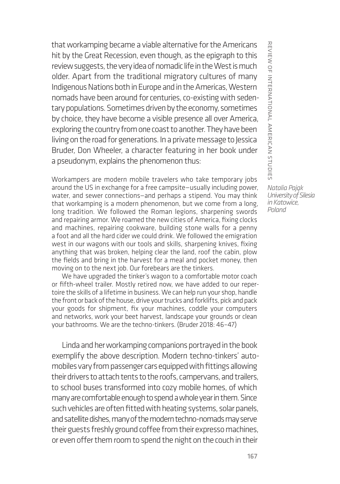that workamping became a viable alternative for the Americans hit by the Great Recession, even though, as the epigraph to this review suggests, the very idea of nomadic life in the West is much older. Apart from the traditional migratory cultures of many Indigenous Nations both in Europe and in the Americas, Western nomads have been around for centuries, co-existing with sedentary populations. Sometimes driven by the economy, sometimes by choice, they have become a visible presence all over America, exploring the country from one coast to another. They have been living on the road for generations. In a private message to Jessica Bruder, Don Wheeler, a character featuring in her book under a pseudonym, explains the phenomenon thus:

Workampers are modern mobile travelers who take temporary jobs around the US in exchange for a free campsite—usually including power, water, and sewer connections—and perhaps a stipend. You may think that workamping is a modern phenomenon, but we come from a long, long tradition. We followed the Roman legions, sharpening swords and repairing armor. We roamed the new cities of America, fixing clocks and machines, repairing cookware, building stone walls for a penny a foot and all the hard cider we could drink. We followed the emigration west in our wagons with our tools and skills, sharpening knives, fixing anything that was broken, helping clear the land, roof the cabin, plow the fields and bring in the harvest for a meal and pocket money, then moving on to the next job. Our forebears are the tinkers.

We have upgraded the tinker's wagon to a comfortable motor coach or fifth-wheel trailer. Mostly retired now, we have added to our repertoire the skills of a lifetime in business. We can help run your shop, handle the front or back of the house, drive your trucks and forklifts, pick and pack your goods for shipment, fix your machines, coddle your computers and networks, work your beet harvest, landscape your grounds or clean your bathrooms. We are the techno-tinkers. (Bruder 2018: 46–47)

Linda and her workamping companions portrayed in the book exemplify the above description. Modern techno-tinkers' automobiles vary from passenger cars equipped with fittings allowing their drivers to attach tents to the roofs, campervans, and trailers, to school buses transformed into cozy mobile homes, of which many are comfortable enough to spend a whole year in them. Since such vehicles are often fitted with heating systems, solar panels, and satellite dishes, many of the modern techno-nomads may serve their guests freshly ground coffee from their expresso machines, or even offer them room to spend the night on the couch in their

REVIEW OF INTERNATIONAL AMERICAN STUDIES review of international american studies *Natalia Pająk University of Silesia*

*in Katowice, Poland*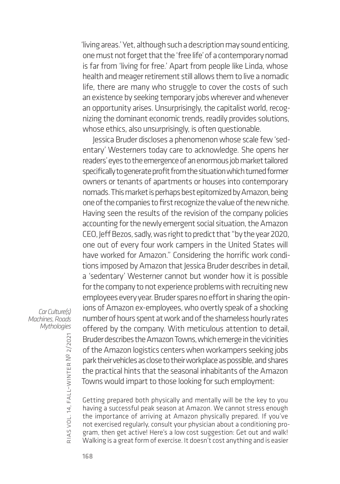'living areas.' Yet, although such a description may sound enticing, one must not forget that the 'free life' of a contemporary nomad is far from 'living for free.' Apart from people like Linda, whose health and meager retirement still allows them to live a nomadic life, there are many who struggle to cover the costs of such an existence by seeking temporary jobs wherever and whenever an opportunity arises. Unsurprisingly, the capitalist world, recognizing the dominant economic trends, readily provides solutions, whose ethics, also unsurprisingly, is often questionable.

Jessica Bruder discloses a phenomenon whose scale few 'sedentary' Westerners today care to acknowledge. She opens her readers' eyes to the emergence of an enormous job market tailored specifically to generate profit from the situation which turned former owners or tenants of apartments or houses into contemporary nomads. This market is perhaps best epitomized by Amazon, being one of the companies to first recognize the value of the new niche. Having seen the results of the revision of the company policies accounting for the newly emergent social situation, the Amazon CEO, Jeff Bezos, sadly, was right to predict that "by the year 2020, one out of every four work campers in the United States will have worked for Amazon." Considering the horrific work conditions imposed by Amazon that Jessica Bruder describes in detail, a 'sedentary' Westerner cannot but wonder how it is possible for the company to not experience problems with recruiting new employees every year. Bruder spares no effort in sharing the opinions of Amazon ex-employees, who overtly speak of a shocking number of hours spent at work and of the shameless hourly rates offered by the company. With meticulous attention to detail, Bruder describes the Amazon Towns, which emerge in the vicinities of the Amazon logistics centers when workampers seeking jobs park their vehicles as close to their workplace as possible, and shares the practical hints that the seasonal inhabitants of the Amazon Towns would impart to those looking for such employment:

Getting prepared both physically and mentally will be the key to you having a successful peak season at Amazon. We cannot stress enough the importance of arriving at Amazon physically prepared. If you've not exercised regularly, consult your physician about a conditioning program, then get active! Here's a low cost suggestion: Get out and walk! Walking is a great form of exercise. It doesn't cost anything and is easier

*Car Culture(s) Machines, Roads Mythologies*

№ 2/2021

168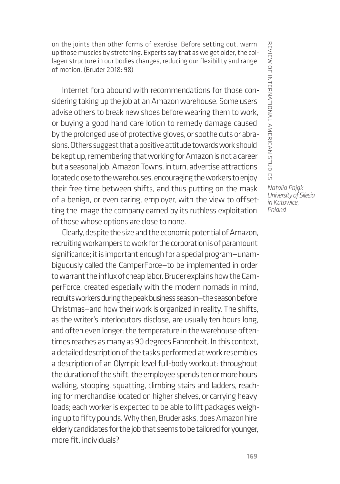on the joints than other forms of exercise. Before setting out, warm up those muscles by stretching. Experts say that as we get older, the collagen structure in our bodies changes, reducing our flexibility and range of motion. (Bruder 2018: 98)

Internet fora abound with recommendations for those considering taking up the job at an Amazon warehouse. Some users advise others to break new shoes before wearing them to work, or buying a good hand care lotion to remedy damage caused by the prolonged use of protective gloves, or soothe cuts or abrasions. Others suggest that a positive attitude towards work should be kept up, remembering that working for Amazon is not a career but a seasonal job. Amazon Towns, in turn, advertise attractions located close to the warehouses, encouraging the workers to enjoy their free time between shifts, and thus putting on the mask of a benign, or even caring, employer, with the view to offsetting the image the company earned by its ruthless exploitation of those whose options are close to none.

Clearly, despite the size and the economic potential of Amazon, recruiting workampers to work for the corporation is of paramount significance; it is important enough for a special program—unambiguously called the CamperForce—to be implemented in order to warrant the influx of cheap labor. Bruder explains how the CamperForce, created especially with the modern nomads in mind, recruits workers during the peak business season—the season before Christmas—and how their work is organized in reality. The shifts, as the writer's interlocutors disclose, are usually ten hours long, and often even longer; the temperature in the warehouse oftentimes reaches as many as 90 degrees Fahrenheit. In this context, a detailed description of the tasks performed at work resembles a description of an Olympic level full-body workout: throughout the duration of the shift, the employee spends ten or more hours walking, stooping, squatting, climbing stairs and ladders, reaching for merchandise located on higher shelves, or carrying heavy loads; each worker is expected to be able to lift packages weighing up to fifty pounds. Why then, Bruder asks, does Amazon hire elderly candidates for the job that seems to be tailored for younger, more fit, individuals?

REVIEW OF INTERNATIONAL AMERICAN STUDIES review of international american studies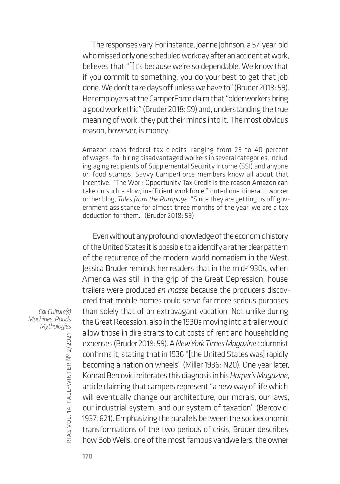The responses vary. For instance, Joanne Johnson, a 57-year-old who missed only one scheduled workday after an accident at work, believes that "[i]t's because we're so dependable. We know that if you commit to something, you do your best to get that job done. We don't take days off unless we have to" (Bruder 2018: 59). Her employers at the CamperForce claim that "older workers bring a good work ethic" (Bruder 2018: 59) and, understanding the true meaning of work, they put their minds into it. The most obvious reason, however, is money:

Amazon reaps federal tax credits—ranging from 25 to 40 percent of wages—for hiring disadvantaged workers in several categories, including aging recipients of Supplemental Security Income (SSI) and anyone on food stamps. Savvy CamperForce members know all about that incentive. "The Work Opportunity Tax Credit is the reason Amazon can take on such a slow, inefficient workforce," noted one itinerant worker on her blog, *Tales from the Rampage*. "Since they are getting us off government assistance for almost three months of the year, we are a tax deduction for them." (Bruder 2018: 59)

Even without any profound knowledge of the economic history of the United States it is possible to a identify a rather clear pattern of the recurrence of the modern-world nomadism in the West. Jessica Bruder reminds her readers that in the mid-1930s, when America was still in the grip of the Great Depression, house trailers were produced *en masse* because the producers discovered that mobile homes could serve far more serious purposes than solely that of an extravagant vacation. Not unlike during the Great Recession, also in the 1930s moving into a trailer would allow those in dire straits to cut costs of rent and householding expenses (Bruder 2018: 59). A *New York Times Magazine* columnist confirms it, stating that in 1936 "[the United States was] rapidly becoming a nation on wheels" (Miller 1936: N20). One year later, Konrad Bercovici reiterates this diagnosis in his *Harper's Magazine*, article claiming that campers represent "a new way of life which will eventually change our architecture, our morals, our laws, our industrial system, and our system of taxation" (Bercovici 1937: 621). Emphasizing the parallels between the socioeconomic transformations of the two periods of crisis, Bruder describes how Bob Wells, one of the most famous vandwellers, the owner

*Car Culture(s) Machines, Roads Mythologies*

rias vol. 14, fall–winter № 2/2021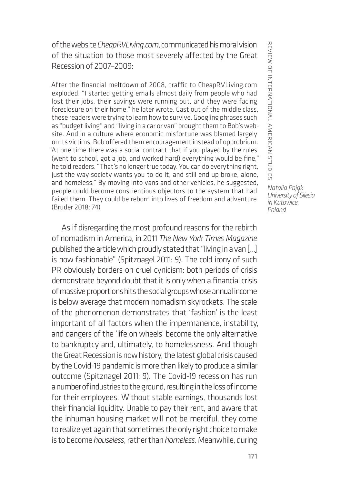of the website *CheapRVLiving.com*,communicated his moral vision of the situation to those most severely affected by the Great Recession of 2007–2009:

After the financial meltdown of 2008, traffic to CheapRVLiving.com exploded. "I started getting emails almost daily from people who had lost their jobs, their savings were running out, and they were facing foreclosure on their home," he later wrote. Cast out of the middle class, these readers were trying to learn how to survive. Googling phrases such as "budget living" and "living in a car or van" brought them to Bob's website. And in a culture where economic misfortune was blamed largely on its victims, Bob offered them encouragement instead of opprobrium. "At one time there was a social contract that if you played by the rules (went to school, got a job, and worked hard) everything would be fine," he told readers. "That's no longer true today. You can do everything right, just the way society wants you to do it, and still end up broke, alone, and homeless." By moving into vans and other vehicles, he suggested, people could become conscientious objectors to the system that had failed them. They could be reborn into lives of freedom and adventure. (Bruder 2018: 74)

As if disregarding the most profound reasons for the rebirth of nomadism in America, in 2011 *The New York Times Magazine* published the article which proudly stated that "living in a van […] is now fashionable" (Spitznagel 2011: 9). The cold irony of such PR obviously borders on cruel cynicism: both periods of crisis demonstrate beyond doubt that it is only when a financial crisis of massive proportions hits the social groups whose annual income is below average that modern nomadism skyrockets. The scale of the phenomenon demonstrates that 'fashion' is the least important of all factors when the impermanence, instability, and dangers of the 'life on wheels' become the only alternative to bankruptcy and, ultimately, to homelessness. And though the Great Recession is now history, the latest global crisis caused by the Covid-19 pandemic is more than likely to produce a similar outcome (Spitznagel 2011: 9). The Covid-19 recession has run a number of industries to the ground, resulting in the loss of income for their employees. Without stable earnings, thousands lost their financial liquidity. Unable to pay their rent, and aware that the inhuman housing market will not be merciful, they come to realize yet again that sometimes the only right choice to make is to become *houseless*, rather than *homeless.* Meanwhile, during

REVIEW OF INTERNATIONAL AMERICAN STUDIES review of international american studies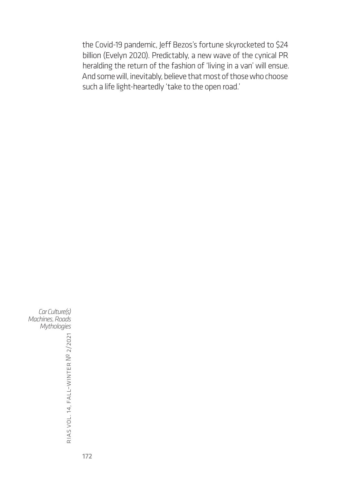the Covid-19 pandemic, Jeff Bezos's fortune skyrocketed to \$24 billion (Evelyn 2020). Predictably, a new wave of the cynical PR heralding the return of the fashion of 'living in a van' will ensue. And some will, inevitably, believe that most of those who choose such a life light-heartedly 'take to the open road.'

*Car Culture(s) Machines, Roads Mythologies*

rias vol. 14, fall–winter № 2/2021